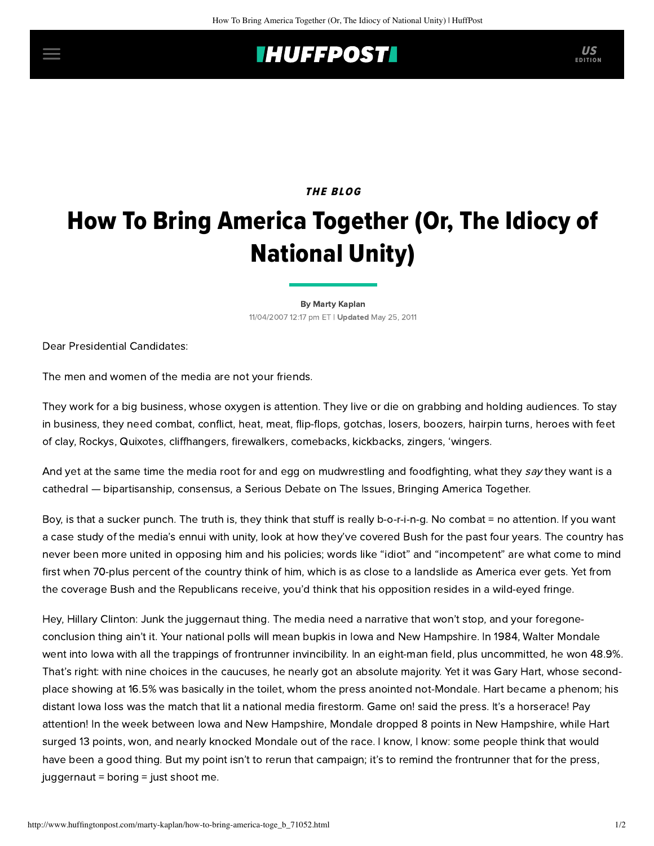## **IHUFFPOSTI** US

## **THE BLOG**

## How To Bring America Together (Or, The Idiocy of National Unity)

[By Marty Kaplan](http://www.huffingtonpost.com/author/marty-kaplan) 11/04/2007 12:17 pm ET | Updated May 25, 2011

Dear Presidential Candidates:

The men and women of the media are not your friends.

They work for a big business, whose oxygen is attention. They live or die on grabbing and holding audiences. To stay in business, they need combat, conflict, heat, meat, flip-flops, gotchas, losers, boozers, hairpin turns, heroes with feet of clay, Rockys, Quixotes, cliffhangers, firewalkers, comebacks, kickbacks, zingers, 'wingers.

And yet at the same time the media root for and egg on mudwrestling and foodfighting, what they say they want is a cathedral — bipartisanship, consensus, a Serious Debate on The Issues, Bringing America Together.

Boy, is that a sucker punch. The truth is, they think that stuff is really b-o-r-i-n-g. No combat = no attention. If you want a case study of the media's ennui with unity, look at how they've covered Bush for the past four years. The country has never been more united in opposing him and his policies; words like "idiot" and "incompetent" are what come to mind first when 70-plus percent of the country think of him, which is as close to a landslide as America ever gets. Yet from the coverage Bush and the Republicans receive, you'd think that his opposition resides in a wild-eyed fringe.

Hey, Hillary Clinton: Junk the juggernaut thing. The media need a narrative that won't stop, and your foregoneconclusion thing ain't it. Your national polls will mean bupkis in Iowa and New Hampshire. In 1984, Walter Mondale went into lowa with all the trappings of frontrunner invincibility. In an eight-man field, plus uncommitted, he won 48.9%. That's right: with nine choices in the caucuses, he nearly got an absolute majority. Yet it was Gary Hart, whose secondplace showing at 16.5% was basically in the toilet, whom the press anointed not-Mondale. Hart became a phenom; his distant Iowa loss was the match that lit a national media firestorm. Game on! said the press. It's a horserace! Pay attention! In the week between Iowa and New Hampshire, Mondale dropped 8 points in New Hampshire, while Hart surged 13 points, won, and nearly knocked Mondale out of the race. I know, I know: some people think that would have been a good thing. But my point isn't to rerun that campaign; it's to remind the frontrunner that for the press, juggernaut = boring = just shoot me.